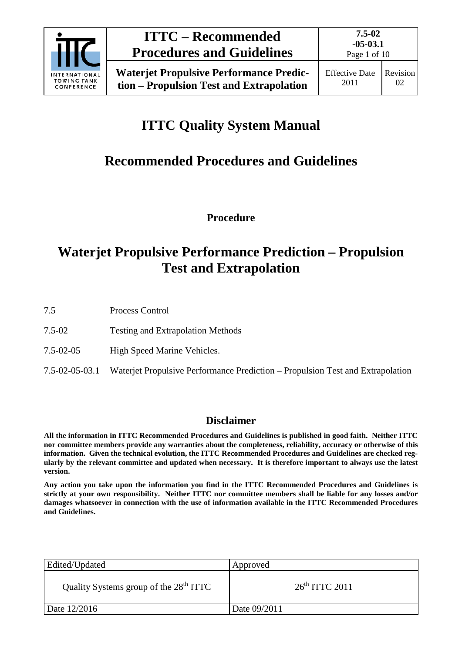

# **ITTC Quality System Manual**

# **Recommended Procedures and Guidelines**

**Procedure**

## **Waterjet Propulsive Performance Prediction – Propulsion Test and Extrapolation**

7.5 Process Control

- 7.5-02 Testing and Extrapolation Methods
- 7.5-02-05 High Speed Marine Vehicles.
- 7.5-02-05-03.1 Waterjet Propulsive Performance Prediction Propulsion Test and Extrapolation

## **Disclaimer**

**All the information in ITTC Recommended Procedures and Guidelines is published in good faith. Neither ITTC nor committee members provide any warranties about the completeness, reliability, accuracy or otherwise of this information. Given the technical evolution, the ITTC Recommended Procedures and Guidelines are checked regularly by the relevant committee and updated when necessary. It is therefore important to always use the latest version.**

**Any action you take upon the information you find in the ITTC Recommended Procedures and Guidelines is strictly at your own responsibility. Neither ITTC nor committee members shall be liable for any losses and/or damages whatsoever in connection with the use of information available in the ITTC Recommended Procedures and Guidelines.**

| Edited/Updated                                     | Approved         |
|----------------------------------------------------|------------------|
| Quality Systems group of the 28 <sup>th</sup> ITTC | $26th$ ITTC 2011 |
| Date 12/2016                                       | Date 09/2011     |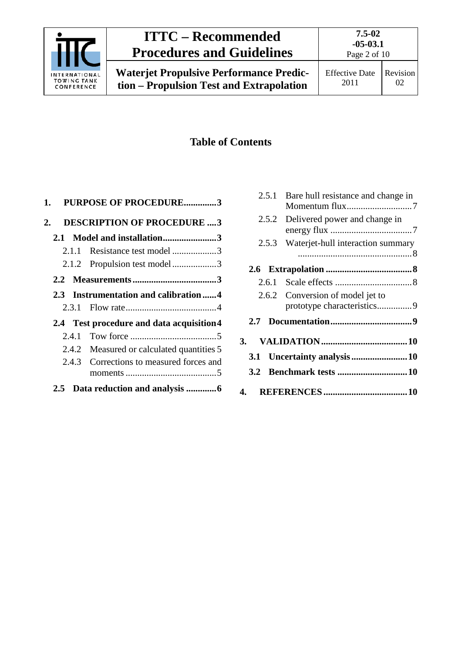

## **ITTC – Recommended Procedures and Guidelines**

## **Table of Contents**

| 1.                                        |       | <b>PURPOSE OF PROCEDURE3</b>              |  |
|-------------------------------------------|-------|-------------------------------------------|--|
| 2.                                        |       | <b>DESCRIPTION OF PROCEDURE 3</b>         |  |
|                                           |       | 2.1 Model and installation3               |  |
|                                           | 2.1.1 | Resistance test model 3                   |  |
|                                           |       | 2.1.2 Propulsion test model3              |  |
|                                           |       |                                           |  |
|                                           |       | 2.3 Instrumentation and calibration4      |  |
|                                           |       |                                           |  |
| 2.4 Test procedure and data acquisition 4 |       |                                           |  |
|                                           | 2.4.1 |                                           |  |
|                                           |       | 2.4.2 Measured or calculated quantities 5 |  |
|                                           |       | 2.4.3 Corrections to measured forces and  |  |
|                                           |       |                                           |  |

| 2.5.1 | Bare hull resistance and change in  |
|-------|-------------------------------------|
|       | 2.5.2 Delivered power and change in |
| 2.5.3 | Waterjet-hull interaction summary   |
|       |                                     |
|       |                                     |
|       | 2.6.2 Conversion of model jet to    |
|       |                                     |
|       |                                     |
|       |                                     |
| 3.2   |                                     |
| 4.    |                                     |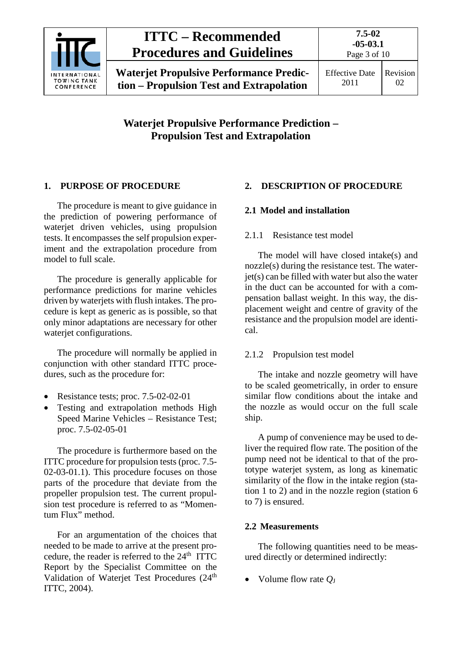

## **ITTC – Recommended Procedures and Guidelines**

**Waterjet Propulsive Performance Prediction – Propulsion Test and Extrapolation**

### <span id="page-2-0"></span>**1. PURPOSE OF PROCEDURE**

The procedure is meant to give guidance in the prediction of powering performance of waterjet driven vehicles, using propulsion tests. It encompasses the self propulsion experiment and the extrapolation procedure from model to full scale.

The procedure is generally applicable for performance predictions for marine vehicles driven by waterjets with flush intakes. The procedure is kept as generic as is possible, so that only minor adaptations are necessary for other waterjet configurations.

The procedure will normally be applied in conjunction with other standard ITTC procedures, such as the procedure for:

- Resistance tests; proc. 7.5-02-02-01
- Testing and extrapolation methods High Speed Marine Vehicles – Resistance Test; proc. 7.5-02-05-01

The procedure is furthermore based on the ITTC procedure for propulsion tests (proc. 7.5- 02-03-01.1). This procedure focuses on those parts of the procedure that deviate from the propeller propulsion test. The current propulsion test procedure is referred to as "Momentum Flux" method.

For an argumentation of the choices that needed to be made to arrive at the present procedure, the reader is referred to the  $24<sup>th</sup>$  ITTC Report by the Specialist Committee on the Validation of Waterjet Test Procedures (24<sup>th</sup>) ITTC, 2004).

## <span id="page-2-2"></span><span id="page-2-1"></span>**2. DESCRIPTION OF PROCEDURE**

## <span id="page-2-3"></span>**2.1 Model and installation**

### 2.1.1 Resistance test model

The model will have closed intake(s) and nozzle(s) during the resistance test. The water $jet(s)$  can be filled with water but also the water in the duct can be accounted for with a compensation ballast weight. In this way, the displacement weight and centre of gravity of the resistance and the propulsion model are identical.

## <span id="page-2-4"></span>2.1.2 Propulsion test model

The intake and nozzle geometry will have to be scaled geometrically, in order to ensure similar flow conditions about the intake and the nozzle as would occur on the full scale ship.

A pump of convenience may be used to deliver the required flow rate. The position of the pump need not be identical to that of the prototype waterjet system, as long as kinematic similarity of the flow in the intake region (station 1 to 2) and in the nozzle region (station 6 to 7) is ensured.

## <span id="page-2-5"></span>**2.2 Measurements**

The following quantities need to be measured directly or determined indirectly:

• Volume flow rate *Q*<sup>J</sup>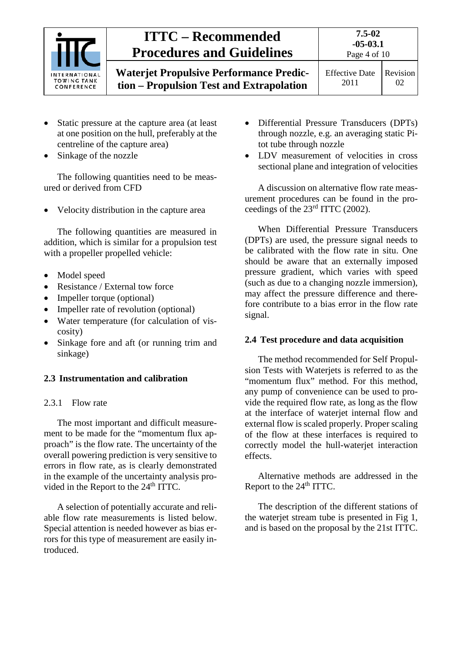| <b>INTERNATIONAL</b><br><b>TOWING TANK</b><br>CONFERENCE | <b>ITTC – Recommended</b><br><b>Procedures and Guidelines</b>                              | $7.5 - 02$<br>$-05-03.1$<br>Page 4 of 10 |                |
|----------------------------------------------------------|--------------------------------------------------------------------------------------------|------------------------------------------|----------------|
|                                                          | <b>Waterjet Propulsive Performance Predic-</b><br>tion – Propulsion Test and Extrapolation | <b>Effective Date</b><br>2011            | Revision<br>02 |

- Static pressure at the capture area (at least at one position on the hull, preferably at the centreline of the capture area)
- Sinkage of the nozzle

The following quantities need to be measured or derived from CFD

• Velocity distribution in the capture area

The following quantities are measured in addition, which is similar for a propulsion test with a propeller propelled vehicle:

- Model speed
- Resistance / External tow force
- Impeller torque (optional)
- Impeller rate of revolution (optional)
- Water temperature (for calculation of viscosity)
- Sinkage fore and aft (or running trim and sinkage)

#### <span id="page-3-1"></span><span id="page-3-0"></span>**2.3 Instrumentation and calibration**

#### 2.3.1 Flow rate

The most important and difficult measurement to be made for the "momentum flux approach" is the flow rate. The uncertainty of the overall powering prediction is very sensitive to errors in flow rate, as is clearly demonstrated in the example of the uncertainty analysis provided in the Report to the 24<sup>th</sup> ITTC.

A selection of potentially accurate and reliable flow rate measurements is listed below. Special attention is needed however as bias errors for this type of measurement are easily introduced.

- Differential Pressure Transducers (DPTs) through nozzle, e.g. an averaging static Pitot tube through nozzle
- LDV measurement of velocities in cross sectional plane and integration of velocities

A discussion on alternative flow rate measurement procedures can be found in the proceedings of the 23rd ITTC (2002).

When Differential Pressure Transducers (DPTs) are used, the pressure signal needs to be calibrated with the flow rate in situ. One should be aware that an externally imposed pressure gradient, which varies with speed (such as due to a changing nozzle immersion), may affect the pressure difference and therefore contribute to a bias error in the flow rate signal.

#### <span id="page-3-2"></span>**2.4 Test procedure and data acquisition**

The method recommended for Self Propulsion Tests with Waterjets is referred to as the "momentum flux" method. For this method, any pump of convenience can be used to provide the required flow rate, as long as the flow at the interface of waterjet internal flow and external flow is scaled properly. Proper scaling of the flow at these interfaces is required to correctly model the hull-waterjet interaction effects.

Alternative methods are addressed in the Report to the  $24<sup>th</sup> ITTC$ .

The description of the different stations of the waterjet stream tube is presented in Fig 1, and is based on the proposal by the 21st ITTC.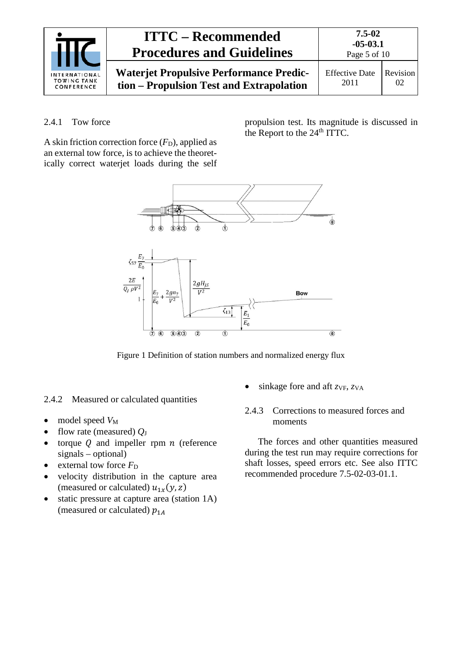| INTERNATIONAL<br><b>TOWING TANK</b><br>CONFERENCE | <b>ITTC – Recommended</b><br><b>Procedures and Guidelines</b>                              | $7.5 - 02$<br>$-05-03.1$<br>Page 5 of 10 |                |
|---------------------------------------------------|--------------------------------------------------------------------------------------------|------------------------------------------|----------------|
|                                                   | <b>Waterjet Propulsive Performance Predic-</b><br>tion - Propulsion Test and Extrapolation | <b>Effective Date</b><br>2011            | Revision<br>02 |

#### <span id="page-4-0"></span>2.4.1 Tow force

A skin friction correction force  $(F_D)$ , applied as an external tow force, is to achieve the theoretically correct waterjet loads during the self

propulsion test. Its magnitude is discussed in the Report to the  $24<sup>th</sup> \overline{TTC}$ .



Figure 1 Definition of station numbers and normalized energy flux

#### <span id="page-4-1"></span>2.4.2 Measured or calculated quantities

- model speed  $V_M$
- flow rate (measured) *Q*<sup>J</sup>
- torque  $Q$  and impeller rpm  $n$  (reference signals – optional)
- external tow force  $F<sub>D</sub>$
- velocity distribution in the capture area (measured or calculated)  $u_{1x}(y, z)$
- static pressure at capture area (station 1A) (measured or calculated)  $p_{1A}$
- <span id="page-4-2"></span>sinkage fore and aft  $z_{VF}$ ,  $z_{VA}$
- 2.4.3 Corrections to measured forces and moments

The forces and other quantities measured during the test run may require corrections for shaft losses, speed errors etc. See also ITTC recommended procedure 7.5-02-03-01.1.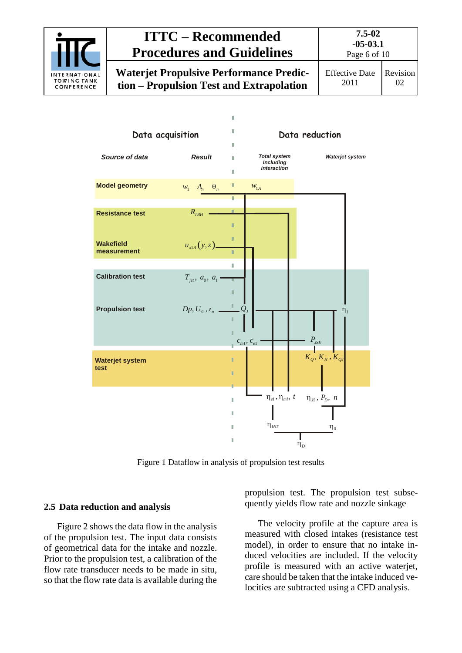



Figure 1 Dataflow in analysis of propulsion test results

#### <span id="page-5-1"></span><span id="page-5-0"></span>**2.5 Data reduction and analysis**

[Figure 2](#page-5-1) shows the data flow in the analysis of the propulsion test. The input data consists of geometrical data for the intake and nozzle. Prior to the propulsion test, a calibration of the flow rate transducer needs to be made in situ, so that the flow rate data is available during the propulsion test. The propulsion test subsequently yields flow rate and nozzle sinkage

The velocity profile at the capture area is measured with closed intakes (resistance test model), in order to ensure that no intake induced velocities are included. If the velocity profile is measured with an active waterjet, care should be taken that the intake induced velocities are subtracted using a CFD analysis.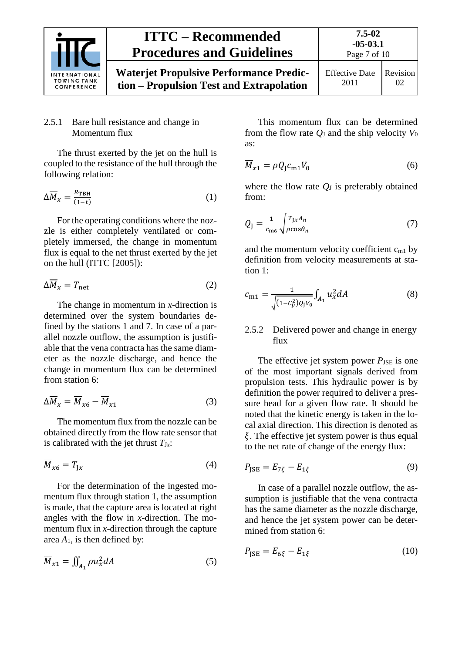

#### <span id="page-6-0"></span>2.5.1 Bare hull resistance and change in Momentum flux

The thrust exerted by the jet on the hull is coupled to the resistance of the hull through the following relation:

$$
\Delta \overline{M}_x = \frac{R_{\text{TBH}}}{(1-t)} \tag{1}
$$

For the operating conditions where the nozzle is either completely ventilated or completely immersed, the change in momentum flux is equal to the net thrust exerted by the jet on the hull (ITTC [2005]):

$$
\Delta \overline{M}_x = T_{\text{net}} \tag{2}
$$

The change in momentum in *x*-direction is determined over the system boundaries defined by the stations 1 and 7. In case of a parallel nozzle outflow, the assumption is justifiable that the vena contracta has the same diameter as the nozzle discharge, and hence the change in momentum flux can be determined from station 6:

$$
\Delta \overline{M}_x = \overline{M}_{x6} - \overline{M}_{x1} \tag{3}
$$

The momentum flux from the nozzle can be obtained directly from the flow rate sensor that is calibrated with the jet thrust  $T_{Jx}$ :

$$
\overline{M}_{x6} = T_{Jx} \tag{4}
$$

For the determination of the ingested momentum flux through station 1, the assumption is made, that the capture area is located at right angles with the flow in *x*-direction. The momentum flux in *x*-direction through the capture area  $A_1$ , is then defined by:

$$
\overline{M}_{x1} = \iint_{A_1} \rho u_x^2 dA \tag{5}
$$

This momentum flux can be determined from the flow rate  $Q_{\text{J}}$  and the ship velocity  $V_0$ as:

$$
\overline{M}_{x1} = \rho Q_{\text{J}} c_{\text{m1}} V_0 \tag{6}
$$

where the flow rate  $Q_J$  is preferably obtained from:

$$
Q_{\rm J} = \frac{1}{c_{\rm m6}} \sqrt{\frac{T_{\rm J} x A_n}{\rho \cos \theta_n}}
$$
 (7)

and the momentum velocity coefficient  $c_{m1}$  by definition from velocity measurements at station 1:

$$
c_{m1} = \frac{1}{\sqrt{(1 - c_p^2)q_yv_0}} \int_{A_1} u_x^2 dA \tag{8}
$$

#### <span id="page-6-1"></span>2.5.2 Delivered power and change in energy flux

The effective jet system power  $P_{\text{JSE}}$  is one of the most important signals derived from propulsion tests. This hydraulic power is by definition the power required to deliver a pressure head for a given flow rate. It should be noted that the kinetic energy is taken in the local axial direction. This direction is denoted as  $\xi$ . The effective jet system power is thus equal to the net rate of change of the energy flux:

$$
P_{\text{JSE}} = E_{7\xi} - E_{1\xi} \tag{9}
$$

In case of a parallel nozzle outflow, the assumption is justifiable that the vena contracta has the same diameter as the nozzle discharge, and hence the jet system power can be determined from station 6:

$$
P_{\text{JSE}} = E_{6\xi} - E_{1\xi} \tag{10}
$$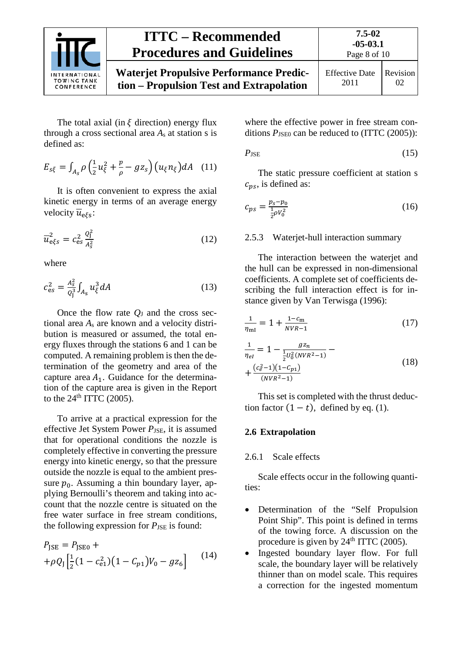

**tion – Propulsion Test and Extrapolation**

Page 8 of 10

The total axial (in  $\xi$  direction) energy flux through a cross sectional area  $A_s$  at station s is defined as:

$$
E_{s\xi} = \int_{A_s} \rho \left(\frac{1}{2}u_{\xi}^2 + \frac{p}{\rho} - gz_s\right) \left(u_{\xi}n_{\xi}\right) dA \quad (11)
$$

It is often convenient to express the axial kinetic energy in terms of an average energy velocity  $\overline{u}_{\text{e}\xi}$ :

$$
\overline{u}_{\text{e}\xi s}^2 = c_{\text{e}s}^2 \frac{q_{\text{f}}^2}{A_s^2} \tag{12}
$$

where

$$
c_{\rm es}^2 = \frac{A_{\rm s}^2}{Q_{\rm j}^3} \int_{A_{\rm s}} u_{\xi}^3 dA \tag{13}
$$

Once the flow rate  $Q_J$  and the cross sectional area *A*<sup>s</sup> are known and a velocity distribution is measured or assumed, the total energy fluxes through the stations 6 and 1 can be computed. A remaining problem is then the determination of the geometry and area of the capture area  $A_1$ . Guidance for the determination of the capture area is given in the Report to the  $24<sup>th</sup> ITTC$  (2005).

To arrive at a practical expression for the effective Jet System Power *P*<sub>JSE</sub>, it is assumed that for operational conditions the nozzle is completely effective in converting the pressure energy into kinetic energy, so that the pressure outside the nozzle is equal to the ambient pressure  $p_0$ . Assuming a thin boundary layer, applying Bernoulli's theorem and taking into account that the nozzle centre is situated on the free water surface in free stream conditions, the following expression for  $P_{\text{JSE}}$  is found:

$$
P_{\text{JSE}} = P_{\text{JSE0}} + + \rho Q_{\text{J}} \left[ \frac{1}{2} (1 - c_{\text{e1}}^2)(1 - C_{p1}) V_0 - g z_6 \right]
$$
 (14)

where the effective power in free stream conditions  $P_{\text{JSE0}}$  can be reduced to (ITTC (2005)):

$$
P_{\rm JSE} \tag{15}
$$

The static pressure coefficient at station s  $c_{ns}$ , is defined as:

$$
c_{ps} = \frac{p_s - p_0}{\frac{1}{2}\rho V_0^2} \tag{16}
$$

#### <span id="page-7-0"></span>2.5.3 Waterjet-hull interaction summary

The interaction between the waterjet and the hull can be expressed in non-dimensional coefficients. A complete set of coefficients describing the full interaction effect is for instance given by Van Terwisga (1996):

$$
\frac{1}{\eta_{\rm ml}} = 1 + \frac{1 - c_{\rm m}}{NVR - 1} \tag{17}
$$

$$
\frac{1}{\eta_{el}} = 1 - \frac{g_{2n}}{\frac{1}{2}U_0^2(NVR^2 - 1)} - \frac{C_e^2 - 1}{(18) + \frac{(c_e^2 - 1)(1 - C_{p1})}{(NVR^2 - 1)}}
$$
\n(18)

This set is completed with the thrust deduction factor  $(1 - t)$ , defined by eq. (1).

#### <span id="page-7-2"></span><span id="page-7-1"></span>**2.6 Extrapolation**

#### 2.6.1 Scale effects

Scale effects occur in the following quantities:

- Determination of the "Self Propulsion Point Ship". This point is defined in terms of the towing force. A discussion on the procedure is given by  $24<sup>th</sup> ITTC$  (2005).
- Ingested boundary layer flow. For full scale, the boundary layer will be relatively thinner than on model scale. This requires a correction for the ingested momentum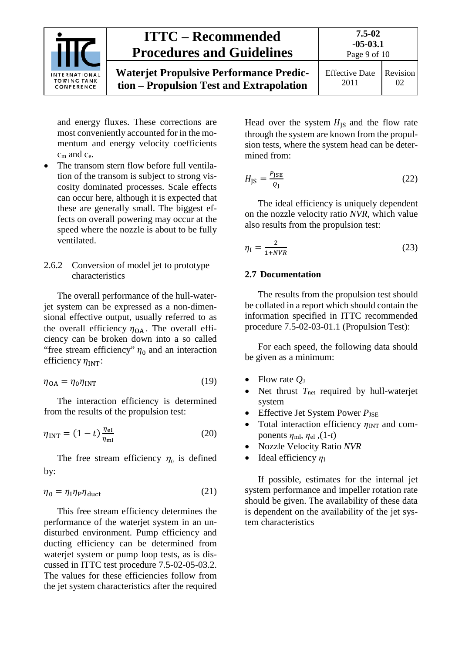

and energy fluxes. These corrections are most conveniently accounted for in the momentum and energy velocity coefficients  $c<sub>m</sub>$  and  $c<sub>e</sub>$ .

The transom stern flow before full ventilation of the transom is subject to strong viscosity dominated processes. Scale effects can occur here, although it is expected that these are generally small. The biggest effects on overall powering may occur at the speed where the nozzle is about to be fully ventilated.

#### <span id="page-8-0"></span>2.6.2 Conversion of model jet to prototype characteristics

The overall performance of the hull-waterjet system can be expressed as a non-dimensional effective output, usually referred to as the overall efficiency  $\eta_{OA}$ . The overall efficiency can be broken down into a so called "free stream efficiency"  $\eta_0$  and an interaction efficiency  $\eta_{\text{INT}}$ :

$$
\eta_{\text{OA}} = \eta_0 \eta_{\text{INT}} \tag{19}
$$

The interaction efficiency is determined from the results of the propulsion test:

$$
\eta_{\text{INT}} = (1 - t) \frac{\eta_{\text{el}}}{\eta_{\text{ml}}}
$$
\n(20)

The free stream efficiency  $\eta_0$  is defined by:

$$
\eta_0 = \eta_1 \eta_P \eta_{\text{duct}} \tag{21}
$$

This free stream efficiency determines the performance of the waterjet system in an undisturbed environment. Pump efficiency and ducting efficiency can be determined from waterjet system or pump loop tests, as is discussed in ITTC test procedure 7.5-02-05-03.2. The values for these efficiencies follow from the jet system characteristics after the required Head over the system  $H_{\text{IS}}$  and the flow rate through the system are known from the propulsion tests, where the system head can be determined from:

$$
H_{\rm JS} = \frac{P_{\rm JSE}}{Q_{\rm J}}\tag{22}
$$

The ideal efficiency is uniquely dependent on the nozzle velocity ratio *NVR,* which value also results from the propulsion test:

$$
\eta_{\rm I} = \frac{2}{1 + NVR} \tag{23}
$$

#### <span id="page-8-1"></span>**2.7 Documentation**

The results from the propulsion test should be collated in a report which should contain the information specified in ITTC recommended procedure 7.5-02-03-01.1 (Propulsion Test):

For each speed, the following data should be given as a minimum:

- Flow rate  $O<sub>J</sub>$
- Net thrust T<sub>net</sub> required by hull-waterjet system
- Effective Jet System Power  $P_{\text{JSE}}$
- Total interaction efficiency  $η_{INT}$  and components  $\eta_{\text{ml}}, \eta_{\text{el}}, (1-t)$
- Nozzle Velocity Ratio *NVR*
- Ideal efficiency  $η_I$

If possible, estimates for the internal jet system performance and impeller rotation rate should be given. The availability of these data is dependent on the availability of the jet system characteristics